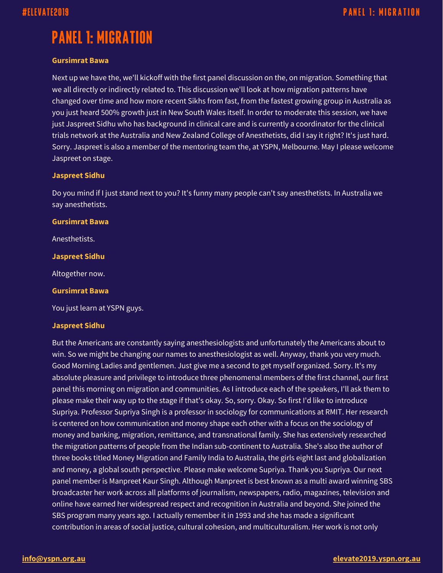# **PANEL 1: MIGRATION**

## **Gursimrat Bawa**

Next up we have the, we'll kickoff with the first panel discussion on the, on migration. Something that we all directly or indirectly related to. This discussion we'll look at how migration patterns have changed over time and how more recent Sikhs from fast, from the fastest growing group in Australia as you just heard 500% growth just in New South Wales itself. In order to moderate this session, we have just Jaspreet Sidhu who has background in clinical care and is currently a coordinator for the clinical trials network at the Australia and New Zealand College of Anesthetists, did I say it right? It's just hard. Sorry. Jaspreet is also a member of the mentoring team the, at YSPN, Melbourne. May I please welcome Jaspreet on stage.

## **Jaspreet Sidhu**

Do you mind if I just stand next to you? It's funny many people can't say anesthetists. In Australia we say anesthetists.

## **Gursimrat Bawa**

Anesthetists.

**Jaspreet Sidhu**

Altogether now.

## **Gursimrat Bawa**

You just learn at YSPN guys.

## **Jaspreet Sidhu**

But the Americans are constantly saying anesthesiologists and unfortunately the Americans about to win. So we might be changing our names to anesthesiologist as well. Anyway, thank you very much. Good Morning Ladies and gentlemen. Just give me a second to get myself organized. Sorry. It's my absolute pleasure and privilege to introduce three phenomenal members of the first channel, our first panel this morning on migration and communities. As I introduce each of the speakers, I'll ask them to please make their way up to the stage if that's okay. So, sorry. Okay. So first I'd like to introduce Supriya. Professor Supriya Singh is a professor in sociology for communications at RMIT. Her research is centered on how communication and money shape each other with a focus on the sociology of money and banking, migration, remittance, and transnational family. She has extensively researched the migration patterns of people from the Indian sub-continent to Australia. She's also the author of three books titled Money Migration and Family India to Australia, the girls eight last and globalization and money, a global south perspective. Please make welcome Supriya. Thank you Supriya. Our next panel member is Manpreet Kaur Singh. Although Manpreet is best known as a multi award winning SBS broadcaster her work across all platforms of journalism, newspapers, radio, magazines, television and online have earned her widespread respect and recognition in Australia and beyond. She joined the SBS program many years ago. I actually remember it in 1993 and she has made a significant contribution in areas of social justice, cultural cohesion, and multiculturalism. Her work is not only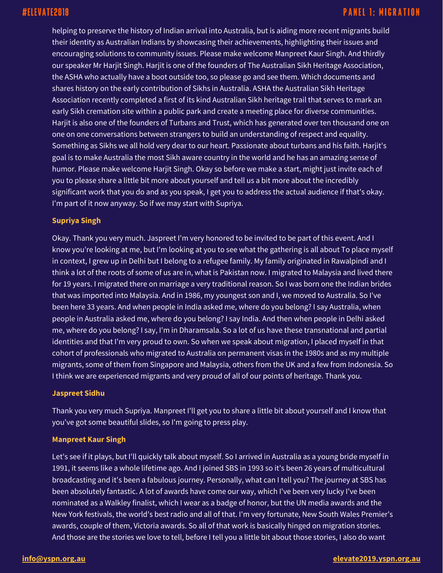helping to preserve the history of Indian arrival into Australia, but is aiding more recent migrants build their identity as Australian Indians by showcasing their achievements, highlighting their issues and encouraging solutions to community issues. Please make welcome Manpreet Kaur Singh. And thirdly our speaker Mr Harjit Singh. Harjit is one of the founders of The Australian Sikh Heritage Association, the ASHA who actually have a boot outside too, so please go and see them. Which documents and shares history on the early contribution of Sikhs in Australia. ASHA the Australian Sikh Heritage Association recently completed a first of its kind Australian Sikh heritage trail that serves to mark an early Sikh cremation site within a public park and create a meeting place for diverse communities. Harjit is also one of the founders of Turbans and Trust, which has generated over ten thousand one on one on one conversations between strangers to build an understanding of respect and equality. Something as Sikhs we all hold very dear to our heart. Passionate about turbans and his faith. Harjit's goal is to make Australia the most Sikh aware country in the world and he has an amazing sense of humor. Please make welcome Harjit Singh. Okay so before we make a start, might just invite each of you to please share a little bit more about yourself and tell us a bit more about the incredibly significant work that you do and as you speak, I get you to address the actual audience if that's okay. I'm part of it now anyway. So if we may start with Supriya.

## **Supriya Singh**

Okay. Thank you very much. Jaspreet I'm very honored to be invited to be part of this event. And I know you're looking at me, but I'm looking at you to see what the gathering is all about To place myself in context, I grew up in Delhi but I belong to a refugee family. My family originated in Rawalpindi and I think a lot of the roots of some of us are in, what is Pakistan now. I migrated to Malaysia and lived there for 19 years. I migrated there on marriage a very traditional reason. So I was born one the Indian brides that was imported into Malaysia. And in 1986, my youngest son and I, we moved to Australia. So I've been here 33 years. And when people in India asked me, where do you belong? I say Australia, when people in Australia asked me, where do you belong? I say India. And then when people in Delhi asked me, where do you belong? I say, I'm in Dharamsala. So a lot of us have these transnational and partial identities and that I'm very proud to own. So when we speak about migration, I placed myself in that cohort of professionals who migrated to Australia on permanent visas in the 1980s and as my multiple migrants, some of them from Singapore and Malaysia, others from the UK and a few from Indonesia. So I think we are experienced migrants and very proud of all of our points of heritage. Thank you.

## **Jaspreet Sidhu**

Thank you very much Supriya. Manpreet I'll get you to share a little bit about yourself and I know that you've got some beautiful slides, so I'm going to press play.

## **Manpreet Kaur Singh**

Let's see if it plays, but I'll quickly talk about myself. So I arrived in Australia as a young bride myself in 1991, it seems like a whole lifetime ago. And I joined SBS in 1993 so it's been 26 years of multicultural broadcasting and it's been a fabulous journey. Personally, what can I tell you? The journey at SBS has been absolutely fantastic. A lot of awards have come our way, which I've been very lucky I've been nominated as a Walkley finalist, which I wear as a badge of honor, but the UN media awards and the New York festivals, the world's best radio and all of that. I'm very fortunate, New South Wales Premier's awards, couple of them, Victoria awards. So all of that work is basically hinged on migration stories. And those are the stories we love to tell, before I tell you a little bit about those stories, I also do want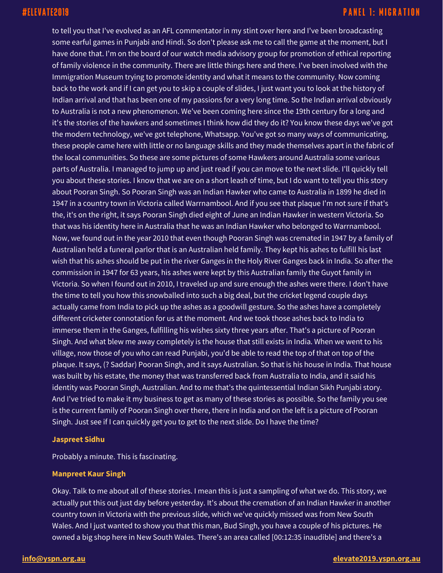to tell you that I've evolved as an AFL commentator in my stint over here and I've been broadcasting some earful games in Punjabi and Hindi. So don't please ask me to call the game at the moment, but I have done that. I'm on the board of our watch media advisory group for promotion of ethical reporting of family violence in the community. There are little things here and there. I've been involved with the Immigration Museum trying to promote identity and what it means to the community. Now coming back to the work and if I can get you to skip a couple of slides, I just want you to look at the history of Indian arrival and that has been one of my passions for a very long time. So the Indian arrival obviously to Australia is not a new phenomenon. We've been coming here since the 19th century for a long and it's the stories of the hawkers and sometimes I think how did they do it? You know these days we've got the modern technology, we've got telephone, Whatsapp. You've got so many ways of communicating, these people came here with little or no language skills and they made themselves apart in the fabric of the local communities. So these are some pictures of some Hawkers around Australia some various parts of Australia. I managed to jump up and just read if you can move to the next slide. I'll quickly tell you about these stories. I know that we are on a short leash of time, but I do want to tell you this story about Pooran Singh. So Pooran Singh was an Indian Hawker who came to Australia in 1899 he died in 1947 in a country town in Victoria called Warrnambool. And if you see that plaque I'm not sure if that's the, it's on the right, it says Pooran Singh died eight of June an Indian Hawker in western Victoria. So that was his identity here in Australia that he was an Indian Hawker who belonged to Warrnambool. Now, we found out in the year 2010 that even though Pooran Singh was cremated in 1947 by a family of Australian held a funeral parlor that is an Australian held family. They kept his ashes to fulfill his last wish that his ashes should be put in the river Ganges in the Holy River Ganges back in India. So after the commission in 1947 for 63 years, his ashes were kept by this Australian family the Guyot family in Victoria. So when I found out in 2010, I traveled up and sure enough the ashes were there. I don't have the time to tell you how this snowballed into such a big deal, but the cricket legend couple days actually came from India to pick up the ashes as a goodwill gesture. So the ashes have a completely different cricketer connotation for us at the moment. And we took those ashes back to India to immerse them in the Ganges, fulfilling his wishes sixty three years after. That's a picture of Pooran Singh. And what blew me away completely is the house that still exists in India. When we went to his village, now those of you who can read Punjabi, you'd be able to read the top of that on top of the plaque. It says, (? Saddar) Pooran Singh, and it says Australian. So that is his house in India. That house was built by his estate, the money that was transferred back from Australia to India, and it said his identity was Pooran Singh, Australian. And to me that's the quintessential Indian Sikh Punjabi story. And I've tried to make it my business to get as many of these stories as possible. So the family you see is the current family of Pooran Singh over there, there in India and on the left is a picture of Pooran Singh. Just see if I can quickly get you to get to the next slide. Do I have the time?

## **Jaspreet Sidhu**

Probably a minute. This is fascinating.

## **Manpreet Kaur Singh**

Okay. Talk to me about all of these stories. I mean this is just a sampling of what we do. This story, we actually put this out just day before yesterday. It's about the cremation of an Indian Hawker in another country town in Victoria with the previous slide, which we've quickly missed was from New South Wales. And I just wanted to show you that this man, Bud Singh, you have a couple of his pictures. He owned a big shop here in New South Wales. There's an area called [00:12:35 inaudible] and there's a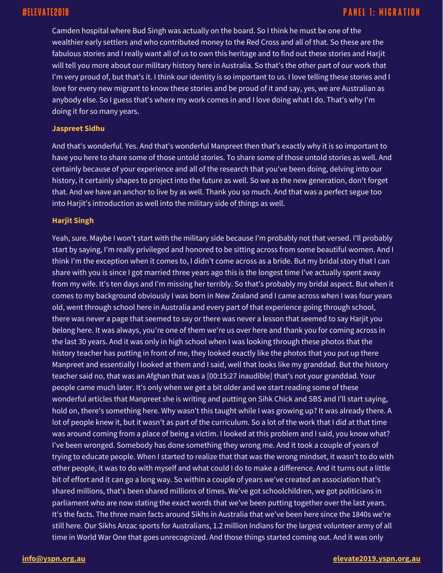Camden hospital where Bud Singh was actually on the board. So I think he must be one of the wealthier early settlers and who contributed money to the Red Cross and all of that. So these are the fabulous stories and I really want all of us to own this heritage and to find out these stories and Harjit will tell you more about our military history here in Australia. So that's the other part of our work that I'm very proud of, but that's it. I think our identity is so important to us. I love telling these stories and I love for every new migrant to know these stories and be proud of it and say, yes, we are Australian as anybody else. So I guess that's where my work comes in and I love doing what I do. That's why I'm doing it for so many years.

## **Jaspreet Sidhu**

And that's wonderful. Yes. And that's wonderful Manpreet then that's exactly why it is so important to have you here to share some of those untold stories. To share some of those untold stories as well. And certainly because of your experience and all of the research that you've been doing, delving into our history, it certainly shapes to project into the future as well. So we as the new generation, don't forget that. And we have an anchor to live by as well. Thank you so much. And that was a perfect segue too into Harjit's introduction as well into the military side of things as well.

## **Harjit Singh**

Yeah, sure. Maybe I won't start with the military side because I'm probably not that versed. I'll probably start by saying, I'm really privileged and honored to be sitting across from some beautiful women. And I think I'm the exception when it comes to, I didn't come across as a bride. But my bridal story that I can share with you is since I got married three years ago this is the longest time I've actually spent away from my wife. It's ten days and I'm missing her terribly. So that's probably my bridal aspect. But when it comes to my background obviously I was born in New Zealand and I came across when I was four years old, went through school here in Australia and every part of that experience going through school, there was never a page that seemed to say or there was never a lesson that seemed to say Harjit you belong here. It was always, you're one of them we're us over here and thank you for coming across in the last 30 years. And it was only in high school when I was looking through these photos that the history teacher has putting in front of me, they looked exactly like the photos that you put up there Manpreet and essentially I looked at them and I said, well that looks like my granddad. But the history teacher said no, that was an Afghan that was a [00:15:27 inaudible] that's not your granddad. Your people came much later. It's only when we get a bit older and we start reading some of these wonderful articles that Manpreet she is writing and putting on Sihk Chick and SBS and I'll start saying, hold on, there's something here. Why wasn't this taught while I was growing up? It was already there. A lot of people knew it, but it wasn't as part of the curriculum. So a lot of the work that I did at that time was around coming from a place of being a victim. I looked at this problem and I said, you know what? I've been wronged. Somebody has done something they wrong me. And it took a couple of years of trying to educate people. When I started to realize that that was the wrong mindset, it wasn't to do with other people, it was to do with myself and what could I do to make a difference. And it turns out a little bit of effort and it can go a long way. So within a couple of years we've created an association that's shared millions, that's been shared millions of times. We've got schoolchildren, we got politicians in parliament who are now stating the exact words that we've been putting together over the last years. It's the facts. The three main facts around Sikhs in Australia that we've been here since the 1840s we're still here. Our Sikhs Anzac sports for Australians, 1.2 million Indians for the largest volunteer army of all time in World War One that goes unrecognized. And those things started coming out. And it was only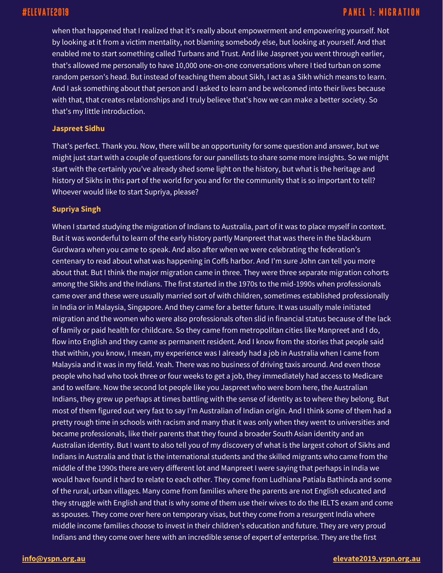when that happened that I realized that it's really about empowerment and empowering yourself. Not by looking at it from a victim mentality, not blaming somebody else, but looking at yourself. And that enabled me to start something called Turbans and Trust. And like Jaspreet you went through earlier, that's allowed me personally to have 10,000 one-on-one conversations where I tied turban on some random person's head. But instead of teaching them about Sikh, I act as a Sikh which means to learn. And I ask something about that person and I asked to learn and be welcomed into their lives because with that, that creates relationships and I truly believe that's how we can make a better society. So that's my little introduction.

## **Jaspreet Sidhu**

That's perfect. Thank you. Now, there will be an opportunity for some question and answer, but we might just start with a couple of questions for our panellists to share some more insights. So we might start with the certainly you've already shed some light on the history, but what is the heritage and history of Sikhs in this part of the world for you and for the community that is so important to tell? Whoever would like to start Supriya, please?

### **Supriya Singh**

When I started studying the migration of Indians to Australia, part of it was to place myself in context. But it was wonderful to learn of the early history partly Manpreet that was there in the blackburn Gurdwara when you came to speak. And also after when we were celebrating the federation's centenary to read about what was happening in Coffs harbor. And I'm sure John can tell you more about that. But I think the major migration came in three. They were three separate migration cohorts among the Sikhs and the Indians. The first started in the 1970s to the mid-1990s when professionals came over and these were usually married sort of with children, sometimes established professionally in India or in Malaysia, Singapore. And they came for a better future. It was usually male initiated migration and the women who were also professionals often slid in financial status because of the lack of family or paid health for childcare. So they came from metropolitan cities like Manpreet and I do, flow into English and they came as permanent resident. And I know from the stories that people said that within, you know, I mean, my experience was I already had a job in Australia when I came from Malaysia and it was in my field. Yeah. There was no business of driving taxis around. And even those people who had who took three or four weeks to get a job, they immediately had access to Medicare and to welfare. Now the second lot people like you Jaspreet who were born here, the Australian Indians, they grew up perhaps at times battling with the sense of identity as to where they belong. But most of them figured out very fast to say I'm Australian of Indian origin. And I think some of them had a pretty rough time in schools with racism and many that it was only when they went to universities and became professionals, like their parents that they found a broader South Asian identity and an Australian identity. But I want to also tell you of my discovery of what is the largest cohort of Sikhs and Indians in Australia and that is the international students and the skilled migrants who came from the middle of the 1990s there are very different lot and Manpreet I were saying that perhaps in India we would have found it hard to relate to each other. They come from Ludhiana Patiala Bathinda and some of the rural, urban villages. Many come from families where the parents are not English educated and they struggle with English and that is why some of them use their wives to do the IELTS exam and come as spouses. They come over here on temporary visas, but they come from a resurgent India where middle income families choose to invest in their children's education and future. They are very proud Indians and they come over here with an incredible sense of expert of enterprise. They are the first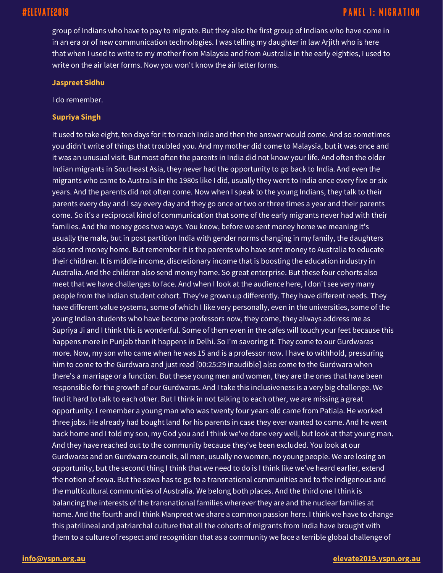group of Indians who have to pay to migrate. But they also the first group of Indians who have come in in an era or of new communication technologies. I was telling my daughter in law Arjith who is here that when I used to write to my mother from Malaysia and from Australia in the early eighties, I used to write on the air later forms. Now you won't know the air letter forms.

### **Jaspreet Sidhu**

I do remember.

## **Supriya Singh**

It used to take eight, ten days for it to reach India and then the answer would come. And so sometimes you didn't write of things that troubled you. And my mother did come to Malaysia, but it was once and it was an unusual visit. But most often the parents in India did not know your life. And often the older Indian migrants in Southeast Asia, they never had the opportunity to go back to India. And even the migrants who came to Australia in the 1980s like I did, usually they went to India once every five or six years. And the parents did not often come. Now when I speak to the young Indians, they talk to their parents every day and I say every day and they go once or two or three times a year and their parents come. So it's a reciprocal kind of communication that some of the early migrants never had with their families. And the money goes two ways. You know, before we sent money home we meaning it's usually the male, but in post partition India with gender norms changing in my family, the daughters also send money home. But remember it is the parents who have sent money to Australia to educate their children. It is middle income, discretionary income that is boosting the education industry in Australia. And the children also send money home. So great enterprise. But these four cohorts also meet that we have challenges to face. And when I look at the audience here, I don't see very many people from the Indian student cohort. They've grown up differently. They have different needs. They have different value systems, some of which I like very personally, even in the universities, some of the young Indian students who have become professors now, they come, they always address me as Supriya Ji and I think this is wonderful. Some of them even in the cafes will touch your feet because this happens more in Punjab than it happens in Delhi. So I'm savoring it. They come to our Gurdwaras more. Now, my son who came when he was 15 and is a professor now. I have to withhold, pressuring him to come to the Gurdwara and just read [00:25:29 inaudible] also come to the Gurdwara when there's a marriage or a function. But these young men and women, they are the ones that have been responsible for the growth of our Gurdwaras. And I take this inclusiveness is a very big challenge. We find it hard to talk to each other. But I think in not talking to each other, we are missing a great opportunity. I remember a young man who was twenty four years old came from Patiala. He worked three jobs. He already had bought land for his parents in case they ever wanted to come. And he went back home and I told my son, my God you and I think we've done very well, but look at that young man. And they have reached out to the community because they've been excluded. You look at our Gurdwaras and on Gurdwara councils, all men, usually no women, no young people. We are losing an opportunity, but the second thing I think that we need to do is I think like we've heard earlier, extend the notion of sewa. But the sewa has to go to a transnational communities and to the indigenous and the multicultural communities of Australia. We belong both places. And the third one I think is balancing the interests of the transnational families wherever they are and the nuclear families at home. And the fourth and I think Manpreet we share a common passion here. I think we have to change this patrilineal and patriarchal culture that all the cohorts of migrants from India have brought with them to a culture of respect and recognition that as a community we face a terrible global challenge of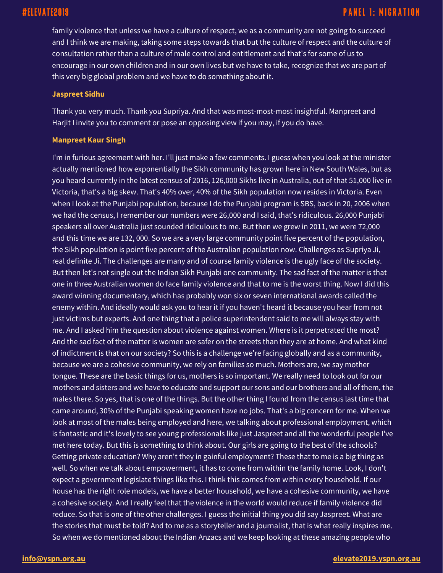## **PANEL 1: MIGRATION**

family violence that unless we have a culture of respect, we as a community are not going to succeed and I think we are making, taking some steps towards that but the culture of respect and the culture of consultation rather than a culture of male control and entitlement and that's for some of us to encourage in our own children and in our own lives but we have to take, recognize that we are part of this very big global problem and we have to do something about it.

### **Jaspreet Sidhu**

Thank you very much. Thank you Supriya. And that was most-most-most insightful. Manpreet and Harjit I invite you to comment or pose an opposing view if you may, if you do have.

### **Manpreet Kaur Singh**

I'm in furious agreement with her. I'll just make a few comments. I guess when you look at the minister actually mentioned how exponentially the Sikh community has grown here in New South Wales, but as you heard currently in the latest census of 2016, 126,000 Sikhs live in Australia, out of that 51,000 live in Victoria, that's a big skew. That's 40% over, 40% of the Sikh population now resides in Victoria. Even when I look at the Punjabi population, because I do the Punjabi program is SBS, back in 20, 2006 when we had the census, I remember our numbers were 26,000 and I said, that's ridiculous. 26,000 Punjabi speakers all over Australia just sounded ridiculous to me. But then we grew in 2011, we were 72,000 and this time we are 132, 000. So we are a very large community point five percent of the population, the Sikh population is point five percent of the Australian population now. Challenges as Supriya Ji, real definite Ji. The challenges are many and of course family violence is the ugly face of the society. But then let's not single out the Indian Sikh Punjabi one community. The sad fact of the matter is that one in three Australian women do face family violence and that to me is the worst thing. Now I did this award winning documentary, which has probably won six or seven international awards called the enemy within. And ideally would ask you to hear it if you haven't heard it because you hear from not just victims but experts. And one thing that a police superintendent said to me will always stay with me. And I asked him the question about violence against women. Where is it perpetrated the most? And the sad fact of the matter is women are safer on the streets than they are at home. And what kind of indictment is that on our society? So this is a challenge we're facing globally and as a community, because we are a cohesive community, we rely on families so much. Mothers are, we say mother tongue. These are the basic things for us, mothers is so important. We really need to look out for our mothers and sisters and we have to educate and support our sons and our brothers and all of them, the males there. So yes, that is one of the things. But the other thing I found from the census last time that came around, 30% of the Punjabi speaking women have no jobs. That's a big concern for me. When we look at most of the males being employed and here, we talking about professional employment, which is fantastic and it's lovely to see young professionals like just Jaspreet and all the wonderful people I've met here today. But this is something to think about. Our girls are going to the best of the schools? Getting private education? Why aren't they in gainful employment? These that to me is a big thing as well. So when we talk about empowerment, it has to come from within the family home. Look, I don't expect a government legislate things like this. I think this comes from within every household. If our house has the right role models, we have a better household, we have a cohesive community, we have a cohesive society. And I really feel that the violence in the world would reduce if family violence did reduce. So that is one of the other challenges. I guess the initial thing you did say Jaspreet. What are the stories that must be told? And to me as a storyteller and a journalist, that is what really inspires me. So when we do mentioned about the Indian Anzacs and we keep looking at these amazing people who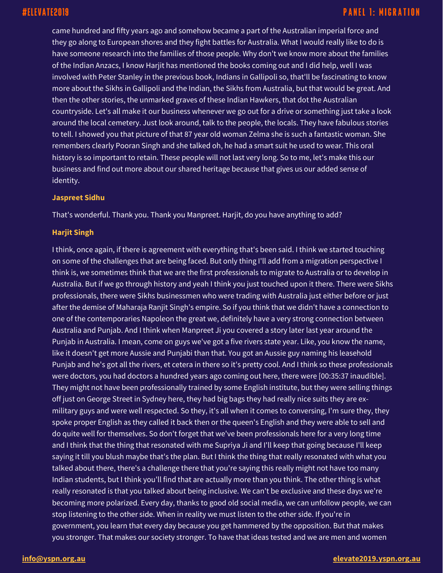came hundred and fifty years ago and somehow became a part of the Australian imperial force and they go along to European shores and they fight battles for Australia. What I would really like to do is have someone research into the families of those people. Why don't we know more about the families of the Indian Anzacs, I know Harjit has mentioned the books coming out and I did help, well I was involved with Peter Stanley in the previous book, Indians in Gallipoli so, that'll be fascinating to know more about the Sikhs in Gallipoli and the Indian, the Sikhs from Australia, but that would be great. And then the other stories, the unmarked graves of these Indian Hawkers, that dot the Australian countryside. Let's all make it our business whenever we go out for a drive or something just take a look around the local cemetery. Just look around, talk to the people, the locals. They have fabulous stories to tell. I showed you that picture of that 87 year old woman Zelma she is such a fantastic woman. She remembers clearly Pooran Singh and she talked oh, he had a smart suit he used to wear. This oral history is so important to retain. These people will not last very long. So to me, let's make this our business and find out more about our shared heritage because that gives us our added sense of identity.

## **Jaspreet Sidhu**

That's wonderful. Thank you. Thank you Manpreet. Harjit, do you have anything to add?

## **Harjit Singh**

I think, once again, if there is agreement with everything that's been said. I think we started touching on some of the challenges that are being faced. But only thing I'll add from a migration perspective I think is, we sometimes think that we are the first professionals to migrate to Australia or to develop in Australia. But if we go through history and yeah I think you just touched upon it there. There were Sikhs professionals, there were Sikhs businessmen who were trading with Australia just either before or just after the demise of Maharaja Ranjit Singh's empire. So if you think that we didn't have a connection to one of the contemporaries Napoleon the great we, definitely have a very strong connection between Australia and Punjab. And I think when Manpreet Ji you covered a story later last year around the Punjab in Australia. I mean, come on guys we've got a five rivers state year. Like, you know the name, like it doesn't get more Aussie and Punjabi than that. You got an Aussie guy naming his leasehold Punjab and he's got all the rivers, et cetera in there so it's pretty cool. And I think so these professionals were doctors, you had doctors a hundred years ago coming out here, there were [00:35:37 inaudible]. They might not have been professionally trained by some English institute, but they were selling things off just on George Street in Sydney here, they had big bags they had really nice suits they are exmilitary guys and were well respected. So they, it's all when it comes to conversing, I'm sure they, they spoke proper English as they called it back then or the queen's English and they were able to sell and do quite well for themselves. So don't forget that we've been professionals here for a very long time and I think that the thing that resonated with me Supriya Ji and I'll keep that going because I'll keep saying it till you blush maybe that's the plan. But I think the thing that really resonated with what you talked about there, there's a challenge there that you're saying this really might not have too many Indian students, but I think you'll find that are actually more than you think. The other thing is what really resonated is that you talked about being inclusive. We can't be exclusive and these days we're becoming more polarized. Every day, thanks to good old social media, we can unfollow people, we can stop listening to the other side. When in reality we must listen to the other side. If you're in government, you learn that every day because you get hammered by the opposition. But that makes you stronger. That makes our society stronger. To have that ideas tested and we are men and women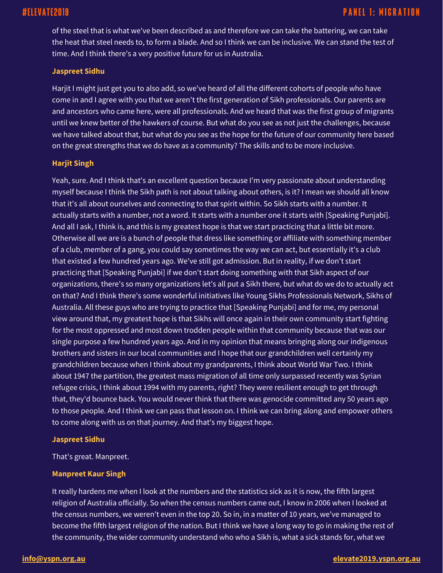of the steel that is what we've been described as and therefore we can take the battering, we can take the heat that steel needs to, to form a blade. And so I think we can be inclusive. We can stand the test of time. And I think there's a very positive future for us in Australia.

## **Jaspreet Sidhu**

Harjit I might just get you to also add, so we've heard of all the different cohorts of people who have come in and I agree with you that we aren't the first generation of Sikh professionals. Our parents are and ancestors who came here, were all professionals. And we heard that was the first group of migrants until we knew better of the hawkers of course. But what do you see as not just the challenges, because we have talked about that, but what do you see as the hope for the future of our community here based on the great strengths that we do have as a community? The skills and to be more inclusive.

## **Harjit Singh**

Yeah, sure. And I think that's an excellent question because I'm very passionate about understanding myself because I think the Sikh path is not about talking about others, is it? I mean we should all know that it's all about ourselves and connecting to that spirit within. So Sikh starts with a number. It actually starts with a number, not a word. It starts with a number one it starts with [Speaking Punjabi]. And all I ask, I think is, and this is my greatest hope is that we start practicing that a little bit more. Otherwise all we are is a bunch of people that dress like something or affiliate with something member of a club, member of a gang, you could say sometimes the way we can act, but essentially it's a club that existed a few hundred years ago. We've still got admission. But in reality, if we don't start practicing that [Speaking Punjabi] if we don't start doing something with that Sikh aspect of our organizations, there's so many organizations let's all put a Sikh there, but what do we do to actually act on that? And I think there's some wonderful initiatives like Young Sikhs Professionals Network, Sikhs of Australia. All these guys who are trying to practice that [Speaking Punjabi] and for me, my personal view around that, my greatest hope is that Sikhs will once again in their own community start fighting for the most oppressed and most down trodden people within that community because that was our single purpose a few hundred years ago. And in my opinion that means bringing along our indigenous brothers and sisters in our local communities and I hope that our grandchildren well certainly my grandchildren because when I think about my grandparents, I think about World War Two. I think about 1947 the partition, the greatest mass migration of all time only surpassed recently was Syrian refugee crisis, I think about 1994 with my parents, right? They were resilient enough to get through that, they'd bounce back. You would never think that there was genocide committed any 50 years ago to those people. And I think we can pass that lesson on. I think we can bring along and empower others to come along with us on that journey. And that's my biggest hope.

## **Jaspreet Sidhu**

That's great. Manpreet.

## **Manpreet Kaur Singh**

It really hardens me when I look at the numbers and the statistics sick as it is now, the fifth largest religion of Australia officially. So when the census numbers came out, I know in 2006 when I looked at the census numbers, we weren't even in the top 20. So in, in a matter of 10 years, we've managed to become the fifth largest religion of the nation. But I think we have a long way to go in making the rest of the community, the wider community understand who who a Sikh is, what a sick stands for, what we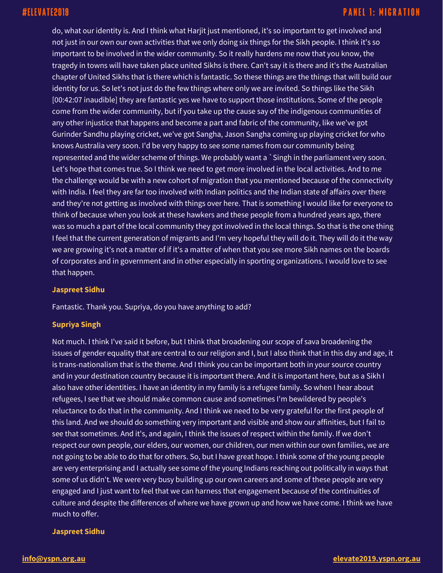do, what our identity is. And I think what Harjit just mentioned, it's so important to get involved and not just in our own our own activities that we only doing six things for the Sikh people. I think it's so important to be involved in the wider community. So it really hardens me now that you know, the tragedy in towns will have taken place united Sikhs is there. Can't say it is there and it's the Australian chapter of United Sikhs that is there which is fantastic. So these things are the things that will build our identity for us. So let's not just do the few things where only we are invited. So things like the Sikh [00:42:07 inaudible] they are fantastic yes we have to support those institutions. Some of the people come from the wider community, but if you take up the cause say of the indigenous communities of any other injustice that happens and become a part and fabric of the community, like we've got Gurinder Sandhu playing cricket, we've got Sangha, Jason Sangha coming up playing cricket for who knows Australia very soon. I'd be very happy to see some names from our community being represented and the wider scheme of things. We probably want a `Singh in the parliament very soon. Let's hope that comes true. So I think we need to get more involved in the local activities. And to me the challenge would be with a new cohort of migration that you mentioned because of the connectivity with India. I feel they are far too involved with Indian politics and the Indian state of affairs over there and they're not getting as involved with things over here. That is something I would like for everyone to think of because when you look at these hawkers and these people from a hundred years ago, there was so much a part of the local community they got involved in the local things. So that is the one thing I feel that the current generation of migrants and I'm very hopeful they will do it. They will do it the way we are growing it's not a matter of if it's a matter of when that you see more Sikh names on the boards of corporates and in government and in other especially in sporting organizations. I would love to see that happen.

## **Jaspreet Sidhu**

Fantastic. Thank you. Supriya, do you have anything to add?

## **Supriya Singh**

Not much. I think I've said it before, but I think that broadening our scope of sava broadening the issues of gender equality that are central to our religion and I, but I also think that in this day and age, it is trans-nationalism that is the theme. And I think you can be important both in your source country and in your destination country because it is important there. And it is important here, but as a Sikh I also have other identities. I have an identity in my family is a refugee family. So when I hear about refugees, I see that we should make common cause and sometimes I'm bewildered by people's reluctance to do that in the community. And I think we need to be very grateful for the first people of this land. And we should do something very important and visible and show our affinities, but I fail to see that sometimes. And it's, and again, I think the issues of respect within the family. If we don't respect our own people, our elders, our women, our children, our men within our own families, we are not going to be able to do that for others. So, but I have great hope. I think some of the young people are very enterprising and I actually see some of the young Indians reaching out politically in ways that some of us didn't. We were very busy building up our own careers and some of these people are very engaged and I just want to feel that we can harness that engagement because of the continuities of culture and despite the differences of where we have grown up and how we have come. I think we have much to offer.

## **Jaspreet Sidhu**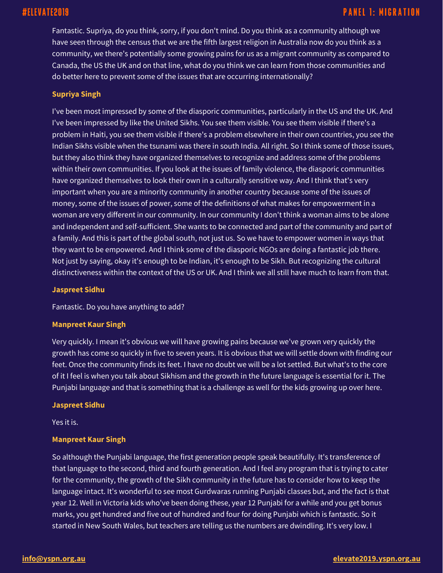## **PANEL 1: MIGRATION**

Fantastic. Supriya, do you think, sorry, if you don't mind. Do you think as a community although we have seen through the census that we are the fifth largest religion in Australia now do you think as a community, we there's potentially some growing pains for us as a migrant community as compared to Canada, the US the UK and on that line, what do you think we can learn from those communities and do better here to prevent some of the issues that are occurring internationally?

## **Supriya Singh**

I've been most impressed by some of the diasporic communities, particularly in the US and the UK. And I've been impressed by like the United Sikhs. You see them visible. You see them visible if there's a problem in Haiti, you see them visible if there's a problem elsewhere in their own countries, you see the Indian Sikhs visible when the tsunami was there in south India. All right. So I think some of those issues, but they also think they have organized themselves to recognize and address some of the problems within their own communities. If you look at the issues of family violence, the diasporic communities have organized themselves to look their own in a culturally sensitive way. And I think that's very important when you are a minority community in another country because some of the issues of money, some of the issues of power, some of the definitions of what makes for empowerment in a woman are very different in our community. In our community I don't think a woman aims to be alone and independent and self-sufficient. She wants to be connected and part of the community and part of a family. And this is part of the global south, not just us. So we have to empower women in ways that they want to be empowered. And I think some of the diasporic NGOs are doing a fantastic job there. Not just by saying, okay it's enough to be Indian, it's enough to be Sikh. But recognizing the cultural distinctiveness within the context of the US or UK. And I think we all still have much to learn from that.

### **Jaspreet Sidhu**

Fantastic. Do you have anything to add?

## **Manpreet Kaur Singh**

Very quickly. I mean it's obvious we will have growing pains because we've grown very quickly the growth has come so quickly in five to seven years. It is obvious that we will settle down with finding our feet. Once the community finds its feet. I have no doubt we will be a lot settled. But what's to the core of it I feel is when you talk about Sikhism and the growth in the future language is essential for it. The Punjabi language and that is something that is a challenge as well for the kids growing up over here.

## **Jaspreet Sidhu**

Yes it is.

## **Manpreet Kaur Singh**

So although the Punjabi language, the first generation people speak beautifully. It's transference of that language to the second, third and fourth generation. And I feel any program that is trying to cater for the community, the growth of the Sikh community in the future has to consider how to keep the language intact. It's wonderful to see most Gurdwaras running Punjabi classes but, and the fact is that year 12. Well in Victoria kids who've been doing these, year 12 Punjabi for a while and you get bonus marks, you get hundred and five out of hundred and four for doing Punjabi which is fantastic. So it started in New South Wales, but teachers are telling us the numbers are dwindling. It's very low. I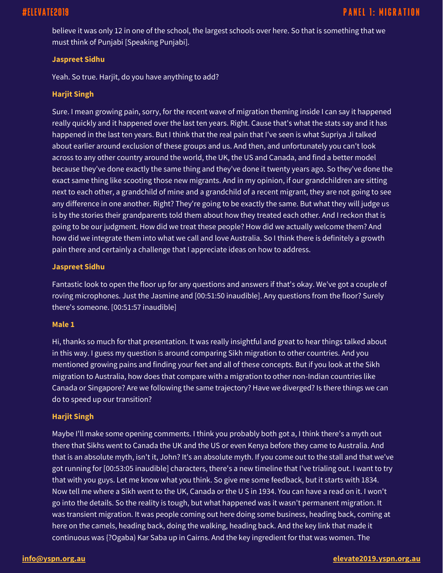believe it was only 12 in one of the school, the largest schools over here. So that is something that we must think of Punjabi [Speaking Punjabi].

## **Jaspreet Sidhu**

Yeah. So true. Harjit, do you have anything to add?

## **Harjit Singh**

Sure. I mean growing pain, sorry, for the recent wave of migration theming inside I can say it happened really quickly and it happened over the last ten years. Right. Cause that's what the stats say and it has happened in the last ten years. But I think that the real pain that I've seen is what Supriya Ji talked about earlier around exclusion of these groups and us. And then, and unfortunately you can't look across to any other country around the world, the UK, the US and Canada, and find a better model because they've done exactly the same thing and they've done it twenty years ago. So they've done the exact same thing like scooting those new migrants. And in my opinion, if our grandchildren are sitting next to each other, a grandchild of mine and a grandchild of a recent migrant, they are not going to see any difference in one another. Right? They're going to be exactly the same. But what they will judge us is by the stories their grandparents told them about how they treated each other. And I reckon that is going to be our judgment. How did we treat these people? How did we actually welcome them? And how did we integrate them into what we call and love Australia. So I think there is definitely a growth pain there and certainly a challenge that I appreciate ideas on how to address.

## **Jaspreet Sidhu**

Fantastic look to open the floor up for any questions and answers if that's okay. We've got a couple of roving microphones. Just the Jasmine and [00:51:50 inaudible]. Any questions from the floor? Surely there's someone. [00:51:57 inaudible]

## **Male 1**

Hi, thanks so much for that presentation. It was really insightful and great to hear things talked about in this way. I guess my question is around comparing Sikh migration to other countries. And you mentioned growing pains and finding your feet and all of these concepts. But if you look at the Sikh migration to Australia, how does that compare with a migration to other non-Indian countries like Canada or Singapore? Are we following the same trajectory? Have we diverged? Is there things we can do to speed up our transition?

## **Harjit Singh**

Maybe I'll make some opening comments. I think you probably both got a, I think there's a myth out there that Sikhs went to Canada the UK and the US or even Kenya before they came to Australia. And that is an absolute myth, isn't it, John? It's an absolute myth. If you come out to the stall and that we've got running for [00:53:05 inaudible] characters, there's a new timeline that I've trialing out. I want to try that with you guys. Let me know what you think. So give me some feedback, but it starts with 1834. Now tell me where a Sikh went to the UK, Canada or the U S in 1934. You can have a read on it. I won't go into the details. So the reality is tough, but what happened was it wasn't permanent migration. It was transient migration. It was people coming out here doing some business, heading back, coming at here on the camels, heading back, doing the walking, heading back. And the key link that made it continuous was {?Ogaba) Kar Saba up in Cairns. And the key ingredient for that was women. The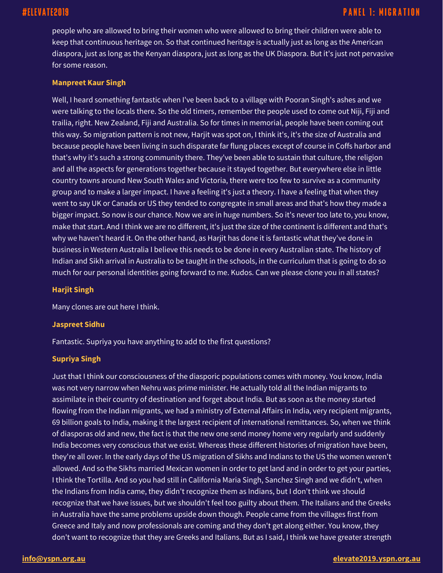people who are allowed to bring their women who were allowed to bring their children were able to keep that continuous heritage on. So that continued heritage is actually just as long as the American diaspora, just as long as the Kenyan diaspora, just as long as the UK Diaspora. But it's just not pervasive for some reason.

## **Manpreet Kaur Singh**

Well, I heard something fantastic when I've been back to a village with Pooran Singh's ashes and we were talking to the locals there. So the old timers, remember the people used to come out Niji, Fiji and trailia, right. New Zealand, Fiji and Australia. So for times in memorial, people have been coming out this way. So migration pattern is not new, Harjit was spot on, I think it's, it's the size of Australia and because people have been living in such disparate far flung places except of course in Coffs harbor and that's why it's such a strong community there. They've been able to sustain that culture, the religion and all the aspects for generations together because it stayed together. But everywhere else in little country towns around New South Wales and Victoria, there were too few to survive as a community group and to make a larger impact. I have a feeling it's just a theory. I have a feeling that when they went to say UK or Canada or US they tended to congregate in small areas and that's how they made a bigger impact. So now is our chance. Now we are in huge numbers. So it's never too late to, you know, make that start. And I think we are no different, it's just the size of the continent is different and that's why we haven't heard it. On the other hand, as Harjit has done it is fantastic what they've done in business in Western Australia I believe this needs to be done in every Australian state. The history of Indian and Sikh arrival in Australia to be taught in the schools, in the curriculum that is going to do so much for our personal identities going forward to me. Kudos. Can we please clone you in all states?

## **Harjit Singh**

Many clones are out here I think.

## **Jaspreet Sidhu**

Fantastic. Supriya you have anything to add to the first questions?

## **Supriya Singh**

Just that I think our consciousness of the diasporic populations comes with money. You know, India was not very narrow when Nehru was prime minister. He actually told all the Indian migrants to assimilate in their country of destination and forget about India. But as soon as the money started flowing from the Indian migrants, we had a ministry of External Affairs in India, very recipient migrants, 69 billion goals to India, making it the largest recipient of international remittances. So, when we think of diasporas old and new, the fact is that the new one send money home very regularly and suddenly India becomes very conscious that we exist. Whereas these different histories of migration have been, they're all over. In the early days of the US migration of Sikhs and Indians to the US the women weren't allowed. And so the Sikhs married Mexican women in order to get land and in order to get your parties, I think the Tortilla. And so you had still in California Maria Singh, Sanchez Singh and we didn't, when the Indians from India came, they didn't recognize them as Indians, but I don't think we should recognize that we have issues, but we shouldn't feel too guilty about them. The Italians and the Greeks in Australia have the same problems upside down though. People came from the villages first from Greece and Italy and now professionals are coming and they don't get along either. You know, they don't want to recognize that they are Greeks and Italians. But as I said, I think we have greater strength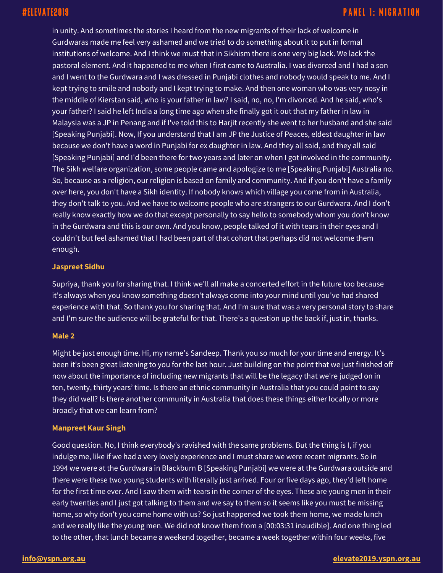in unity. And sometimes the stories I heard from the new migrants of their lack of welcome in Gurdwaras made me feel very ashamed and we tried to do something about it to put in formal institutions of welcome. And I think we must that in Sikhism there is one very big lack. We lack the pastoral element. And it happened to me when I first came to Australia. I was divorced and I had a son and I went to the Gurdwara and I was dressed in Punjabi clothes and nobody would speak to me. And I kept trying to smile and nobody and I kept trying to make. And then one woman who was very nosy in the middle of Kierstan said, who is your father in law? I said, no, no, I'm divorced. And he said, who's your father? I said he left India a long time ago when she finally got it out that my father in law in Malaysia was a JP in Penang and if I've told this to Harjit recently she went to her husband and she said [Speaking Punjabi]. Now, If you understand that I am JP the Justice of Peaces, eldest daughter in law because we don't have a word in Punjabi for ex daughter in law. And they all said, and they all said [Speaking Punjabi] and I'd been there for two years and later on when I got involved in the community. The Sikh welfare organization, some people came and apologize to me [Speaking Punjabi] Australia no. So, because as a religion, our religion is based on family and community. And if you don't have a family over here, you don't have a Sikh identity. If nobody knows which village you come from in Australia, they don't talk to you. And we have to welcome people who are strangers to our Gurdwara. And I don't really know exactly how we do that except personally to say hello to somebody whom you don't know in the Gurdwara and this is our own. And you know, people talked of it with tears in their eyes and I couldn't but feel ashamed that I had been part of that cohort that perhaps did not welcome them enough.

## **Jaspreet Sidhu**

Supriya, thank you for sharing that. I think we'll all make a concerted effort in the future too because it's always when you know something doesn't always come into your mind until you've had shared experience with that. So thank you for sharing that. And I'm sure that was a very personal story to share and I'm sure the audience will be grateful for that. There's a question up the back if, just in, thanks.

## **Male 2**

Might be just enough time. Hi, my name's Sandeep. Thank you so much for your time and energy. It's been it's been great listening to you for the last hour. Just building on the point that we just finished off now about the importance of including new migrants that will be the legacy that we're judged on in ten, twenty, thirty years' time. Is there an ethnic community in Australia that you could point to say they did well? Is there another community in Australia that does these things either locally or more broadly that we can learn from?

## **Manpreet Kaur Singh**

Good question. No, I think everybody's ravished with the same problems. But the thing is I, if you indulge me, like if we had a very lovely experience and I must share we were recent migrants. So in 1994 we were at the Gurdwara in Blackburn B [Speaking Punjabi] we were at the Gurdwara outside and there were these two young students with literally just arrived. Four or five days ago, they'd left home for the first time ever. And I saw them with tears in the corner of the eyes. These are young men in their early twenties and I just got talking to them and we say to them so it seems like you must be missing home, so why don't you come home with us? So just happened we took them home, we made lunch and we really like the young men. We did not know them from a [00:03:31 inaudible]. And one thing led to the other, that lunch became a weekend together, became a week together within four weeks, five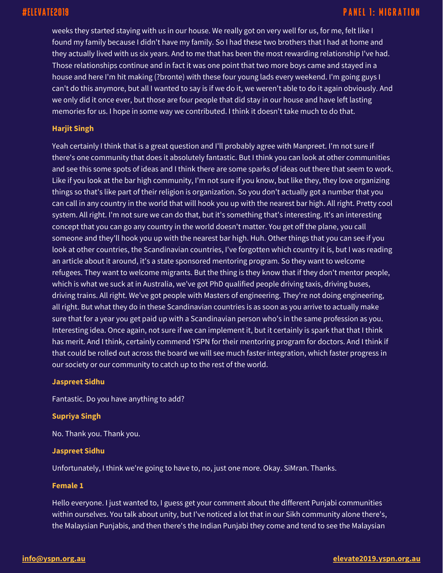## **PANEL 1: MIGRATION**

weeks they started staying with us in our house. We really got on very well for us, for me, felt like I found my family because I didn't have my family. So I had these two brothers that I had at home and they actually lived with us six years. And to me that has been the most rewarding relationship I've had. Those relationships continue and in fact it was one point that two more boys came and stayed in a house and here I'm hit making (?bronte) with these four young lads every weekend. I'm going guys I can't do this anymore, but all I wanted to say is if we do it, we weren't able to do it again obviously. And we only did it once ever, but those are four people that did stay in our house and have left lasting memories for us. I hope in some way we contributed. I think it doesn't take much to do that.

## **Harjit Singh**

Yeah certainly I think that is a great question and I'll probably agree with Manpreet. I'm not sure if there's one community that does it absolutely fantastic. But I think you can look at other communities and see this some spots of ideas and I think there are some sparks of ideas out there that seem to work. Like if you look at the bar high community, I'm not sure if you know, but like they, they love organizing things so that's like part of their religion is organization. So you don't actually got a number that you can call in any country in the world that will hook you up with the nearest bar high. All right. Pretty cool system. All right. I'm not sure we can do that, but it's something that's interesting. It's an interesting concept that you can go any country in the world doesn't matter. You get off the plane, you call someone and they'll hook you up with the nearest bar high. Huh. Other things that you can see if you look at other countries, the Scandinavian countries, I've forgotten which country it is, but I was reading an article about it around, it's a state sponsored mentoring program. So they want to welcome refugees. They want to welcome migrants. But the thing is they know that if they don't mentor people, which is what we suck at in Australia, we've got PhD qualified people driving taxis, driving buses, driving trains. All right. We've got people with Masters of engineering. They're not doing engineering, all right. But what they do in these Scandinavian countries is as soon as you arrive to actually make sure that for a year you get paid up with a Scandinavian person who's in the same profession as you. Interesting idea. Once again, not sure if we can implement it, but it certainly is spark that that I think has merit. And I think, certainly commend YSPN for their mentoring program for doctors. And I think if that could be rolled out across the board we will see much faster integration, which faster progress in our society or our community to catch up to the rest of the world.

### **Jaspreet Sidhu**

Fantastic. Do you have anything to add?

## **Supriya Singh**

No. Thank you. Thank you.

### **Jaspreet Sidhu**

Unfortunately, I think we're going to have to, no, just one more. Okay. SiMran. Thanks.

## **Female 1**

Hello everyone. I just wanted to, I guess get your comment about the different Punjabi communities within ourselves. You talk about unity, but I've noticed a lot that in our Sikh community alone there's, the Malaysian Punjabis, and then there's the Indian Punjabi they come and tend to see the Malaysian